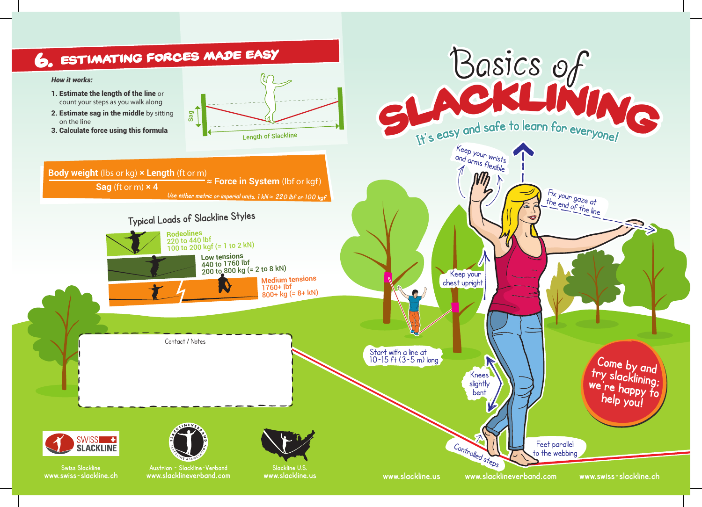